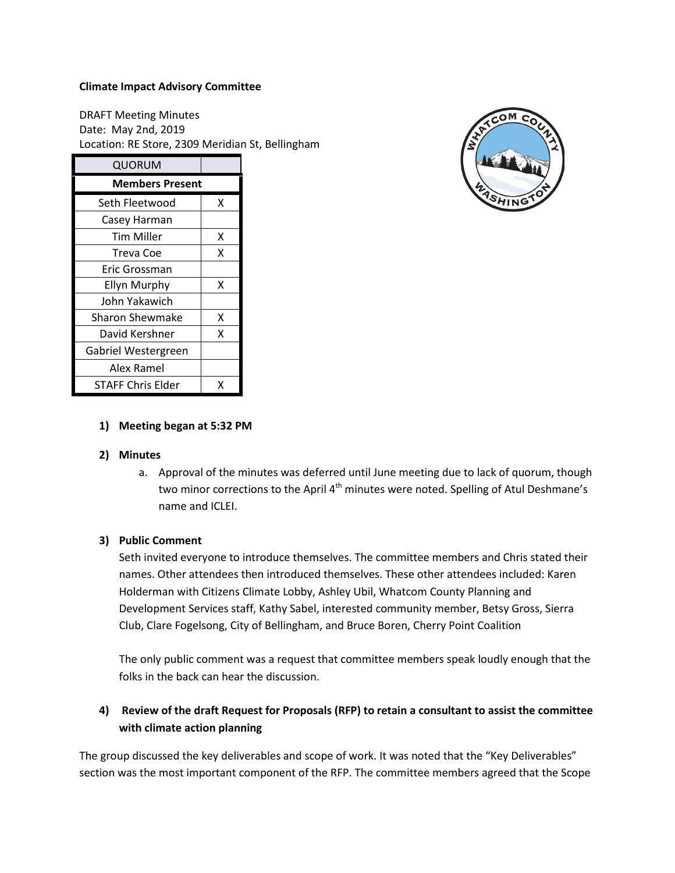#### **Climate Impact Advisory Committee**

DRAFT Meeting Minutes Date: May 2nd, 2019 Location: RE Store, 2309 Meridian St, Bellingham

| QUORUM                   |   |
|--------------------------|---|
| <b>Members Present</b>   |   |
| Seth Fleetwood           | x |
| Casey Harman             |   |
| <b>Tim Miller</b>        | x |
| Treva Coe                | x |
| Eric Grossman            |   |
| <b>Ellyn Murphy</b>      | x |
| John Yakawich            |   |
| Sharon Shewmake          | Χ |
| David Kershner           | x |
| Gabriel Westergreen      |   |
| Alex Ramel               |   |
| <b>STAFF Chris Elder</b> | x |



### **1) Meeting began at 5:32 PM**

### **2) Minutes**

a. Approval of the minutes was deferred until June meeting due to lack of quorum, though two minor corrections to the April 4<sup>th</sup> minutes were noted. Spelling of Atul Deshmane's name and ICLEI.

### **3) Public Comment**

Seth invited everyone to introduce themselves. The committee members and Chris stated their names. Other attendees then introduced themselves. These other attendees included: Karen Holderman with Citizens Climate Lobby, Ashley Ubil, Whatcom County Planning and Development Services staff, Kathy Sabel, interested community member, Betsy Gross, Sierra Club, Clare Fogelsong, City of Bellingham, and Bruce Boren, Cherry Point Coalition

The only public comment was a request that committee members speak loudly enough that the folks in the back can hear the discussion.

# **4) Review of the draft Request for Proposals (RFP) to retain a consultant to assist the committee with climate action planning**

The group discussed the key deliverables and scope of work. It was noted that the "Key Deliverables" section was the most important component of the RFP. The committee members agreed that the Scope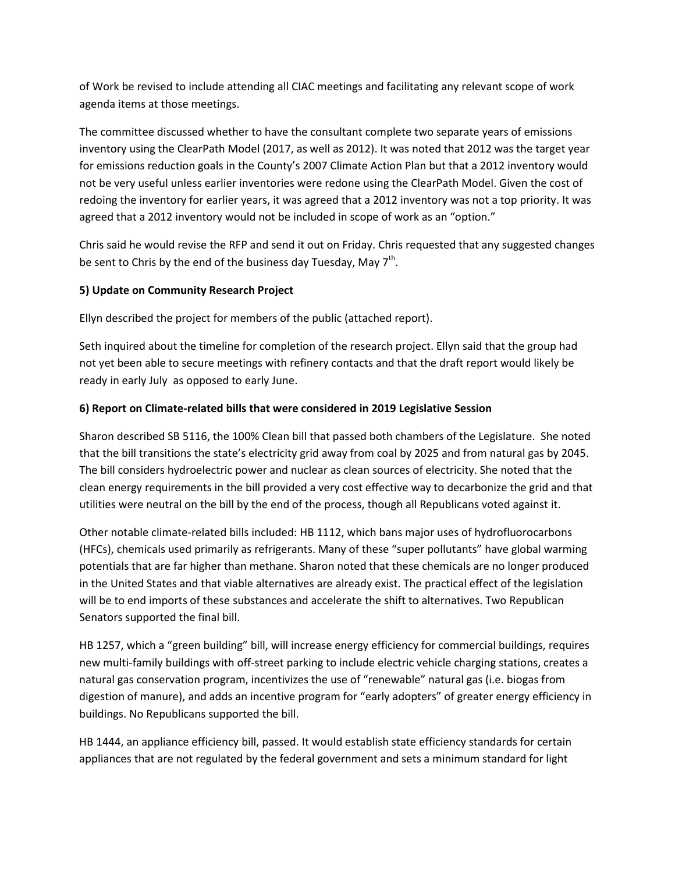of Work be revised to include attending all CIAC meetings and facilitating any relevant scope of work agenda items at those meetings.

The committee discussed whether to have the consultant complete two separate years of emissions inventory using the ClearPath Model (2017, as well as 2012). It was noted that 2012 was the target year for emissions reduction goals in the County's 2007 Climate Action Plan but that a 2012 inventory would not be very useful unless earlier inventories were redone using the ClearPath Model. Given the cost of redoing the inventory for earlier years, it was agreed that a 2012 inventory was not a top priority. It was agreed that a 2012 inventory would not be included in scope of work as an "option."

Chris said he would revise the RFP and send it out on Friday. Chris requested that any suggested changes be sent to Chris by the end of the business day Tuesday, May  $7<sup>th</sup>$ .

## **5) Update on Community Research Project**

Ellyn described the project for members of the public (attached report).

Seth inquired about the timeline for completion of the research project. Ellyn said that the group had not yet been able to secure meetings with refinery contacts and that the draft report would likely be ready in early July as opposed to early June.

## **6) Report on Climate-related bills that were considered in 2019 Legislative Session**

Sharon described SB 5116, the 100% Clean bill that passed both chambers of the Legislature. She noted that the bill transitions the state's electricity grid away from coal by 2025 and from natural gas by 2045. The bill considers hydroelectric power and nuclear as clean sources of electricity. She noted that the clean energy requirements in the bill provided a very cost effective way to decarbonize the grid and that utilities were neutral on the bill by the end of the process, though all Republicans voted against it.

Other notable climate-related bills included: HB 1112, which bans major uses of hydrofluorocarbons (HFCs), chemicals used primarily as refrigerants. Many of these "super pollutants" have global warming potentials that are far higher than methane. Sharon noted that these chemicals are no longer produced in the United States and that viable alternatives are already exist. The practical effect of the legislation will be to end imports of these substances and accelerate the shift to alternatives. Two Republican Senators supported the final bill.

HB 1257, which a "green building" bill, will increase energy efficiency for commercial buildings, requires new multi-family buildings with off-street parking to include electric vehicle charging stations, creates a natural gas conservation program, incentivizes the use of "renewable" natural gas (i.e. biogas from digestion of manure), and adds an incentive program for "early adopters" of greater energy efficiency in buildings. No Republicans supported the bill.

HB 1444, an appliance efficiency bill, passed. It would establish state efficiency standards for certain appliances that are not regulated by the federal government and sets a minimum standard for light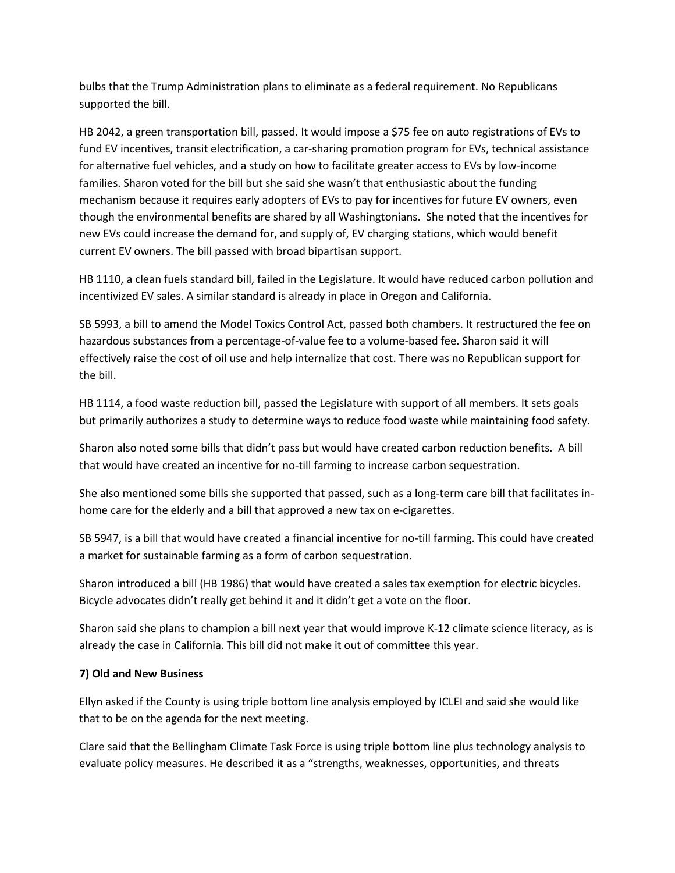bulbs that the Trump Administration plans to eliminate as a federal requirement. No Republicans supported the bill.

HB 2042, a green transportation bill, passed. It would impose a \$75 fee on auto registrations of EVs to fund EV incentives, transit electrification, a car-sharing promotion program for EVs, technical assistance for alternative fuel vehicles, and a study on how to facilitate greater access to EVs by low-income families. Sharon voted for the bill but she said she wasn't that enthusiastic about the funding mechanism because it requires early adopters of EVs to pay for incentives for future EV owners, even though the environmental benefits are shared by all Washingtonians. She noted that the incentives for new EVs could increase the demand for, and supply of, EV charging stations, which would benefit current EV owners. The bill passed with broad bipartisan support.

HB 1110, a clean fuels standard bill, failed in the Legislature. It would have reduced carbon pollution and incentivized EV sales. A similar standard is already in place in Oregon and California.

SB 5993, a bill to amend the Model Toxics Control Act, passed both chambers. It restructured the fee on hazardous substances from a percentage-of-value fee to a volume-based fee. Sharon said it will effectively raise the cost of oil use and help internalize that cost. There was no Republican support for the bill.

HB 1114, a food waste reduction bill, passed the Legislature with support of all members. It sets goals but primarily authorizes a study to determine ways to reduce food waste while maintaining food safety.

Sharon also noted some bills that didn't pass but would have created carbon reduction benefits. A bill that would have created an incentive for no-till farming to increase carbon sequestration.

She also mentioned some bills she supported that passed, such as a long-term care bill that facilitates inhome care for the elderly and a bill that approved a new tax on e-cigarettes.

SB 5947, is a bill that would have created a financial incentive for no-till farming. This could have created a market for sustainable farming as a form of carbon sequestration.

Sharon introduced a bill (HB 1986) that would have created a sales tax exemption for electric bicycles. Bicycle advocates didn't really get behind it and it didn't get a vote on the floor.

Sharon said she plans to champion a bill next year that would improve K-12 climate science literacy, as is already the case in California. This bill did not make it out of committee this year.

### **7) Old and New Business**

Ellyn asked if the County is using triple bottom line analysis employed by ICLEI and said she would like that to be on the agenda for the next meeting.

Clare said that the Bellingham Climate Task Force is using triple bottom line plus technology analysis to evaluate policy measures. He described it as a "strengths, weaknesses, opportunities, and threats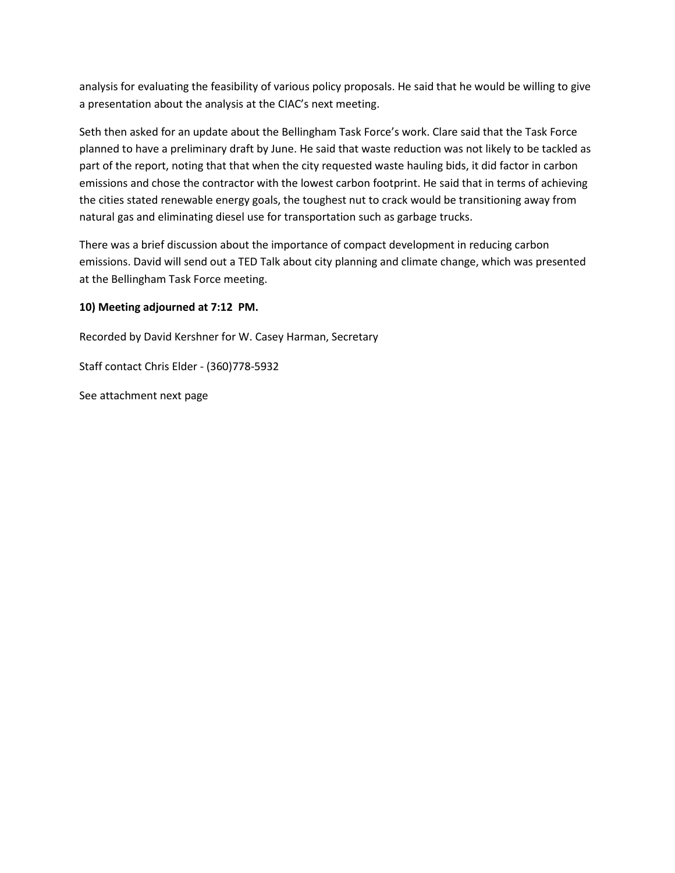analysis for evaluating the feasibility of various policy proposals. He said that he would be willing to give a presentation about the analysis at the CIAC's next meeting.

Seth then asked for an update about the Bellingham Task Force's work. Clare said that the Task Force planned to have a preliminary draft by June. He said that waste reduction was not likely to be tackled as part of the report, noting that that when the city requested waste hauling bids, it did factor in carbon emissions and chose the contractor with the lowest carbon footprint. He said that in terms of achieving the cities stated renewable energy goals, the toughest nut to crack would be transitioning away from natural gas and eliminating diesel use for transportation such as garbage trucks.

There was a brief discussion about the importance of compact development in reducing carbon emissions. David will send out a TED Talk about city planning and climate change, which was presented at the Bellingham Task Force meeting.

## **10) Meeting adjourned at 7:12 PM.**

Recorded by David Kershner for W. Casey Harman, Secretary

Staff contact Chris Elder - (360)778-5932

See attachment next page